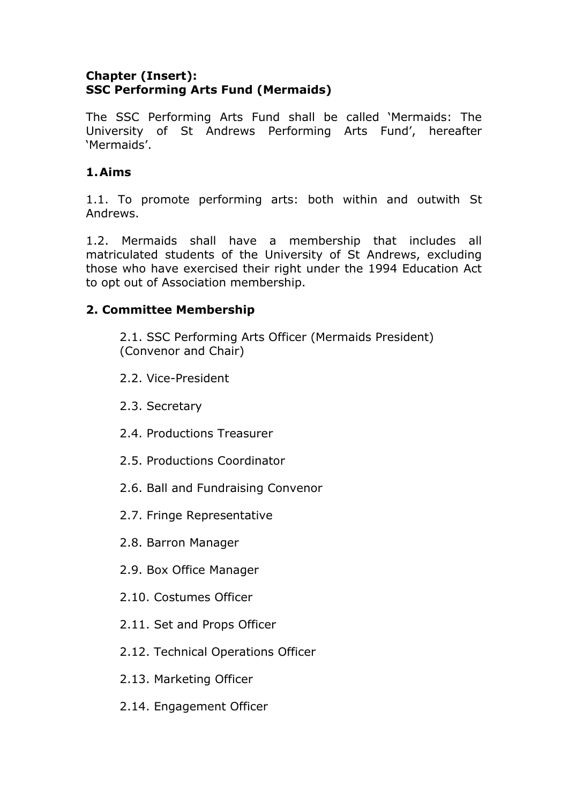### **Chapter (Insert): SSC Performing Arts Fund (Mermaids)**

The SSC Performing Arts Fund shall be called 'Mermaids: The University of St Andrews Performing Arts Fund', hereafter 'Mermaids'.

# **1.Aims**

1.1. To promote performing arts: both within and outwith St Andrews.

1.2. Mermaids shall have a membership that includes all matriculated students of the University of St Andrews, excluding those who have exercised their right under the 1994 Education Act to opt out of Association membership.

## **2. Committee Membership**

2.1. SSC Performing Arts Officer (Mermaids President) (Convenor and Chair)

- 2.2. Vice-President
- 2.3. Secretary
- 2.4. Productions Treasurer
- 2.5. Productions Coordinator
- 2.6. Ball and Fundraising Convenor
- 2.7. Fringe Representative
- 2.8. Barron Manager
- 2.9. Box Office Manager
- 2.10. Costumes Officer
- 2.11. Set and Props Officer
- 2.12. Technical Operations Officer
- 2.13. Marketing Officer
- 2.14. Engagement Officer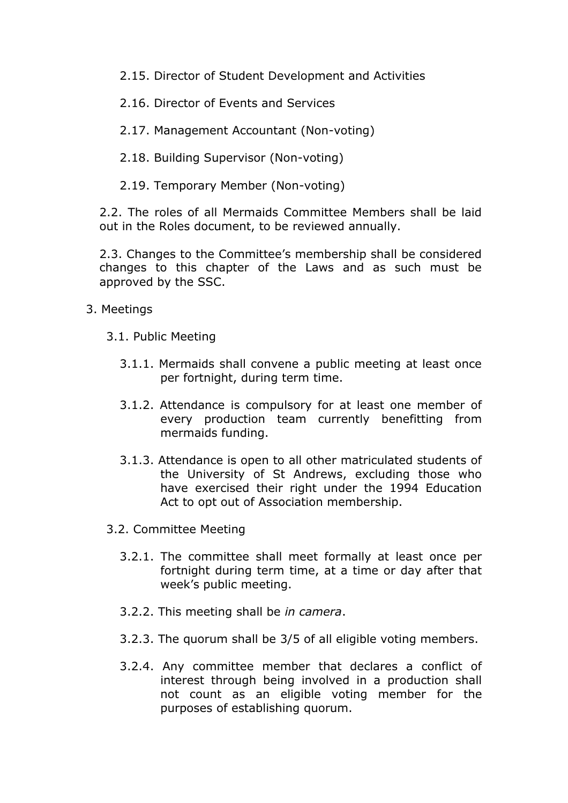2.15. Director of Student Development and Activities

2.16. Director of Events and Services

2.17. Management Accountant (Non-voting)

2.18. Building Supervisor (Non-voting)

2.19. Temporary Member (Non-voting)

2.2. The roles of all Mermaids Committee Members shall be laid out in the Roles document, to be reviewed annually.

2.3. Changes to the Committee's membership shall be considered changes to this chapter of the Laws and as such must be approved by the SSC.

- 3. Meetings
	- 3.1. Public Meeting
		- 3.1.1. Mermaids shall convene a public meeting at least once per fortnight, during term time.
		- 3.1.2. Attendance is compulsory for at least one member of every production team currently benefitting from mermaids funding.
		- 3.1.3. Attendance is open to all other matriculated students of the University of St Andrews, excluding those who have exercised their right under the 1994 Education Act to opt out of Association membership.
	- 3.2. Committee Meeting
		- 3.2.1. The committee shall meet formally at least once per fortnight during term time, at a time or day after that week's public meeting.
		- 3.2.2. This meeting shall be *in camera*.
		- 3.2.3. The quorum shall be 3/5 of all eligible voting members.
		- 3.2.4. Any committee member that declares a conflict of interest through being involved in a production shall not count as an eligible voting member for the purposes of establishing quorum.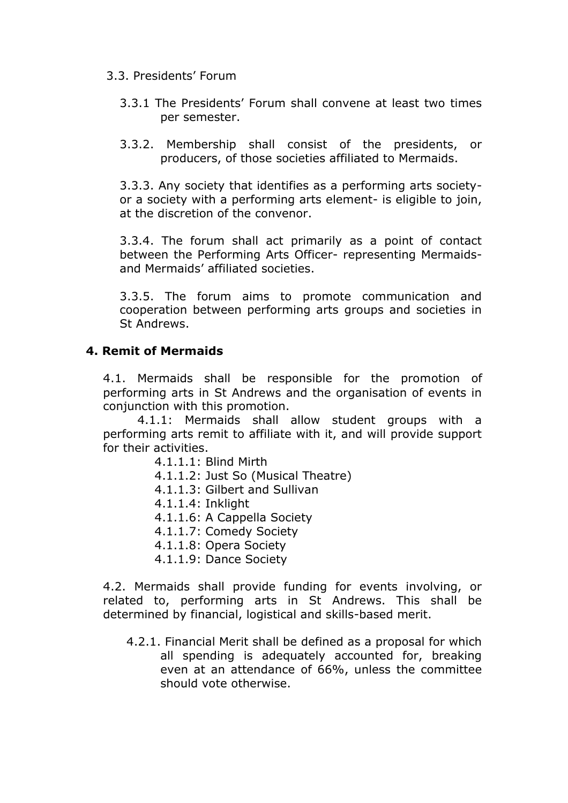#### 3.3. Presidents' Forum

- 3.3.1 The Presidents' Forum shall convene at least two times per semester.
- 3.3.2. Membership shall consist of the presidents, or producers, of those societies affiliated to Mermaids.

3.3.3. Any society that identifies as a performing arts societyor a society with a performing arts element- is eligible to join, at the discretion of the convenor.

3.3.4. The forum shall act primarily as a point of contact between the Performing Arts Officer- representing Mermaidsand Mermaids' affiliated societies.

3.3.5. The forum aims to promote communication and cooperation between performing arts groups and societies in St Andrews.

### **4. Remit of Mermaids**

4.1. Mermaids shall be responsible for the promotion of performing arts in St Andrews and the organisation of events in conjunction with this promotion.

4.1.1: Mermaids shall allow student groups with a performing arts remit to affiliate with it, and will provide support for their activities.

- 4.1.1.1: Blind Mirth
- 4.1.1.2: Just So (Musical Theatre)
- 4.1.1.3: Gilbert and Sullivan
- 4.1.1.4: Inklight
- 4.1.1.6: A Cappella Society
- 4.1.1.7: Comedy Society
- 4.1.1.8: Opera Society
- 4.1.1.9: Dance Society

4.2. Mermaids shall provide funding for events involving, or related to, performing arts in St Andrews. This shall be determined by financial, logistical and skills-based merit.

4.2.1. Financial Merit shall be defined as a proposal for which all spending is adequately accounted for, breaking even at an attendance of 66%, unless the committee should vote otherwise.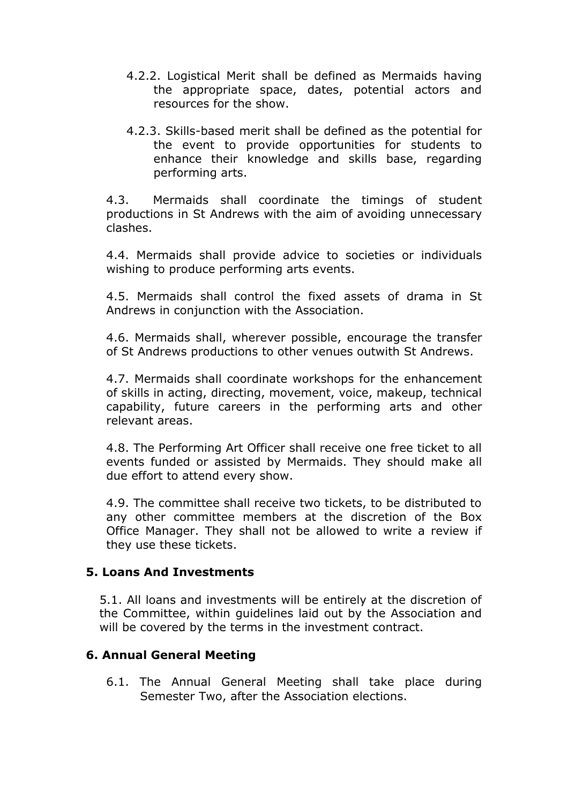- 4.2.2. Logistical Merit shall be defined as Mermaids having the appropriate space, dates, potential actors and resources for the show.
- 4.2.3. Skills-based merit shall be defined as the potential for the event to provide opportunities for students to enhance their knowledge and skills base, regarding performing arts.

4.3. Mermaids shall coordinate the timings of student productions in St Andrews with the aim of avoiding unnecessary clashes.

4.4. Mermaids shall provide advice to societies or individuals wishing to produce performing arts events.

4.5. Mermaids shall control the fixed assets of drama in St Andrews in conjunction with the Association.

4.6. Mermaids shall, wherever possible, encourage the transfer of St Andrews productions to other venues outwith St Andrews.

4.7. Mermaids shall coordinate workshops for the enhancement of skills in acting, directing, movement, voice, makeup, technical capability, future careers in the performing arts and other relevant areas.

4.8. The Performing Art Officer shall receive one free ticket to all events funded or assisted by Mermaids. They should make all due effort to attend every show.

4.9. The committee shall receive two tickets, to be distributed to any other committee members at the discretion of the Box Office Manager. They shall not be allowed to write a review if they use these tickets.

### **5. Loans And Investments**

5.1. All loans and investments will be entirely at the discretion of the Committee, within guidelines laid out by the Association and will be covered by the terms in the investment contract.

### **6. Annual General Meeting**

6.1. The Annual General Meeting shall take place during Semester Two, after the Association elections.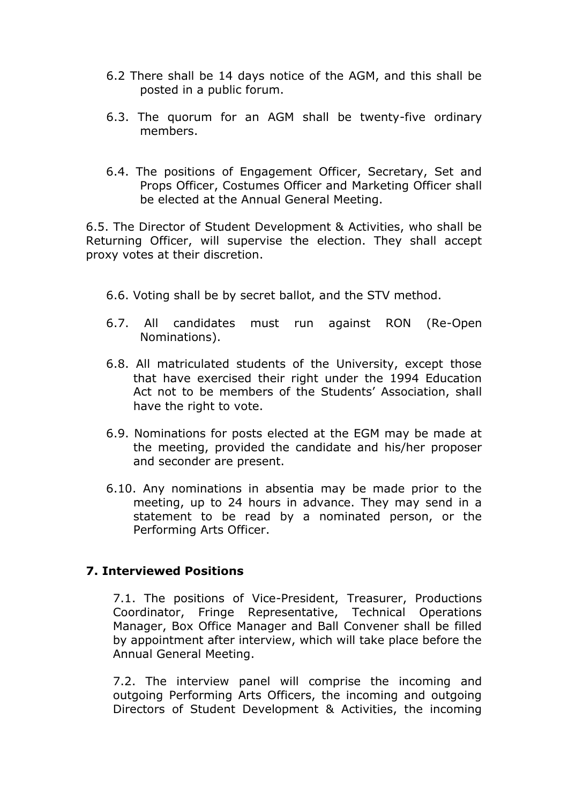- 6.2 There shall be 14 days notice of the AGM, and this shall be posted in a public forum.
- 6.3. The quorum for an AGM shall be twenty-five ordinary members.
- 6.4. The positions of Engagement Officer, Secretary, Set and Props Officer, Costumes Officer and Marketing Officer shall be elected at the Annual General Meeting.

6.5. The Director of Student Development & Activities, who shall be Returning Officer, will supervise the election. They shall accept proxy votes at their discretion.

- 6.6. Voting shall be by secret ballot, and the STV method.
- 6.7. All candidates must run against RON (Re-Open Nominations).
- 6.8. All matriculated students of the University, except those that have exercised their right under the 1994 Education Act not to be members of the Students' Association, shall have the right to vote.
- 6.9. Nominations for posts elected at the EGM may be made at the meeting, provided the candidate and his/her proposer and seconder are present.
- 6.10. Any nominations in absentia may be made prior to the meeting, up to 24 hours in advance. They may send in a statement to be read by a nominated person, or the Performing Arts Officer.

## **7. Interviewed Positions**

7.1. The positions of Vice-President, Treasurer, Productions Coordinator, Fringe Representative, Technical Operations Manager, Box Office Manager and Ball Convener shall be filled by appointment after interview, which will take place before the Annual General Meeting.

7.2. The interview panel will comprise the incoming and outgoing Performing Arts Officers, the incoming and outgoing Directors of Student Development & Activities, the incoming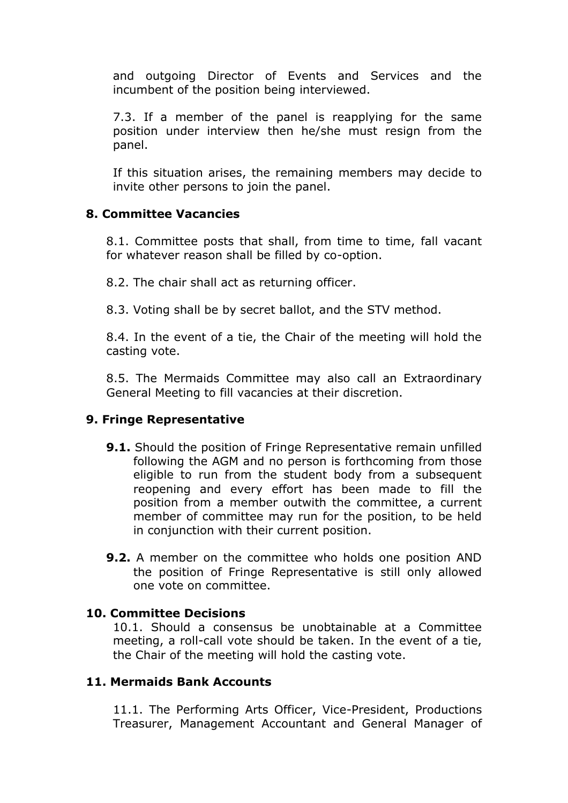and outgoing Director of Events and Services and the incumbent of the position being interviewed.

7.3. If a member of the panel is reapplying for the same position under interview then he/she must resign from the panel.

If this situation arises, the remaining members may decide to invite other persons to join the panel.

### **8. Committee Vacancies**

8.1. Committee posts that shall, from time to time, fall vacant for whatever reason shall be filled by co-option.

8.2. The chair shall act as returning officer.

8.3. Voting shall be by secret ballot, and the STV method.

8.4. In the event of a tie, the Chair of the meeting will hold the casting vote.

8.5. The Mermaids Committee may also call an Extraordinary General Meeting to fill vacancies at their discretion.

### **9. Fringe Representative**

- **9.1.** Should the position of Fringe Representative remain unfilled following the AGM and no person is forthcoming from those eligible to run from the student body from a subsequent reopening and every effort has been made to fill the position from a member outwith the committee, a current member of committee may run for the position, to be held in conjunction with their current position.
- **9.2.** A member on the committee who holds one position AND the position of Fringe Representative is still only allowed one vote on committee.

### **10. Committee Decisions**

10.1. Should a consensus be unobtainable at a Committee meeting, a roll-call vote should be taken. In the event of a tie, the Chair of the meeting will hold the casting vote.

### **11. Mermaids Bank Accounts**

11.1. The Performing Arts Officer, Vice-President, Productions Treasurer, Management Accountant and General Manager of